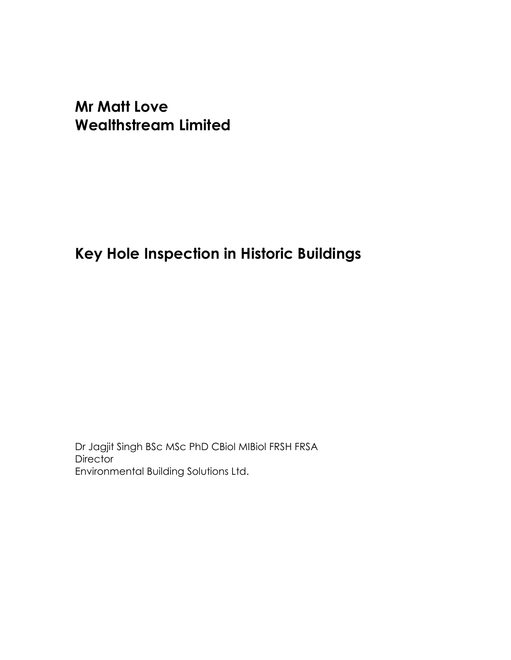# Mr Matt Love Wealthstream Limited

# Key Hole Inspection in Historic Buildings

Dr Jagjit Singh BSc MSc PhD CBiol MIBiol FRSH FRSA **Director** Environmental Building Solutions Ltd.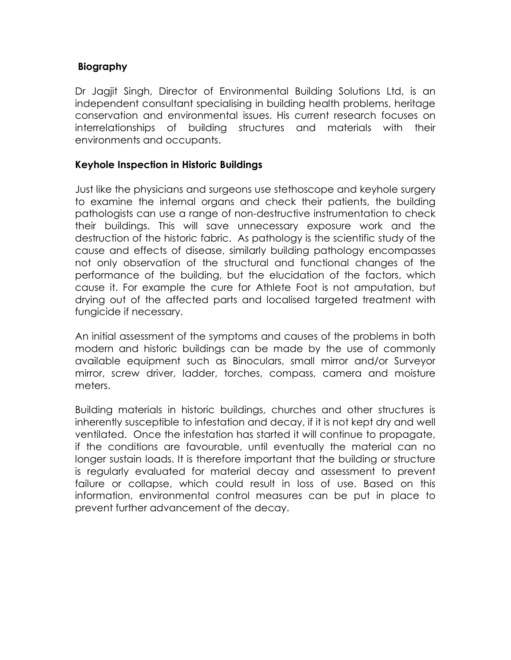### Biography

Dr Jagjit Singh, Director of Environmental Building Solutions Ltd, is an independent consultant specialising in building health problems, heritage conservation and environmental issues. His current research focuses on interrelationships of building structures and materials with their environments and occupants.

#### Keyhole Inspection in Historic Buildings

Just like the physicians and surgeons use stethoscope and keyhole surgery to examine the internal organs and check their patients, the building pathologists can use a range of non-destructive instrumentation to check their buildings. This will save unnecessary exposure work and the destruction of the historic fabric. As pathology is the scientific study of the cause and effects of disease, similarly building pathology encompasses not only observation of the structural and functional changes of the performance of the building, but the elucidation of the factors, which cause it. For example the cure for Athlete Foot is not amputation, but drying out of the affected parts and localised targeted treatment with fungicide if necessary.

An initial assessment of the symptoms and causes of the problems in both modern and historic buildings can be made by the use of commonly available equipment such as Binoculars, small mirror and/or Surveyor mirror, screw driver, ladder, torches, compass, camera and moisture meters.

Building materials in historic buildings, churches and other structures is inherently susceptible to infestation and decay, if it is not kept dry and well ventilated. Once the infestation has started it will continue to propagate, if the conditions are favourable, until eventually the material can no longer sustain loads. It is therefore important that the building or structure is regularly evaluated for material decay and assessment to prevent failure or collapse, which could result in loss of use. Based on this information, environmental control measures can be put in place to prevent further advancement of the decay.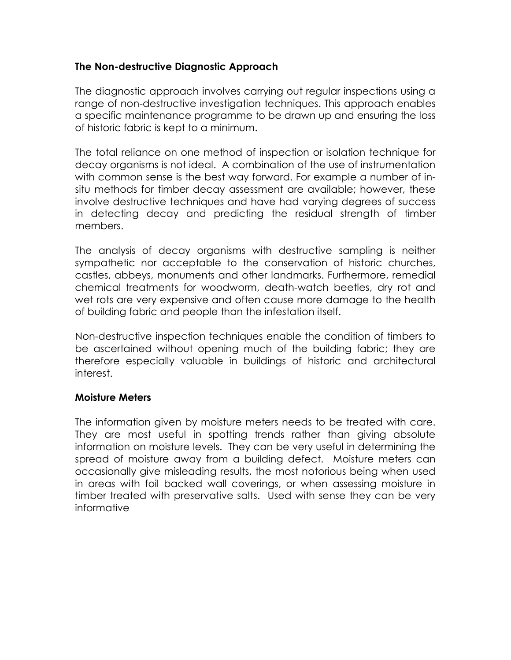### The Non-destructive Diagnostic Approach

The diagnostic approach involves carrying out regular inspections using a range of non-destructive investigation techniques. This approach enables a specific maintenance programme to be drawn up and ensuring the loss of historic fabric is kept to a minimum.

The total reliance on one method of inspection or isolation technique for decay organisms is not ideal. A combination of the use of instrumentation with common sense is the best way forward. For example a number of insitu methods for timber decay assessment are available; however, these involve destructive techniques and have had varying degrees of success in detecting decay and predicting the residual strength of timber members.

The analysis of decay organisms with destructive sampling is neither sympathetic nor acceptable to the conservation of historic churches, castles, abbeys, monuments and other landmarks. Furthermore, remedial chemical treatments for woodworm, death-watch beetles, dry rot and wet rots are very expensive and often cause more damage to the health of building fabric and people than the infestation itself.

Non-destructive inspection techniques enable the condition of timbers to be ascertained without opening much of the building fabric; they are therefore especially valuable in buildings of historic and architectural interest.

### Moisture Meters

The information given by moisture meters needs to be treated with care. They are most useful in spotting trends rather than giving absolute information on moisture levels. They can be very useful in determining the spread of moisture away from a building defect. Moisture meters can occasionally give misleading results, the most notorious being when used in areas with foil backed wall coverings, or when assessing moisture in timber treated with preservative salts. Used with sense they can be very informative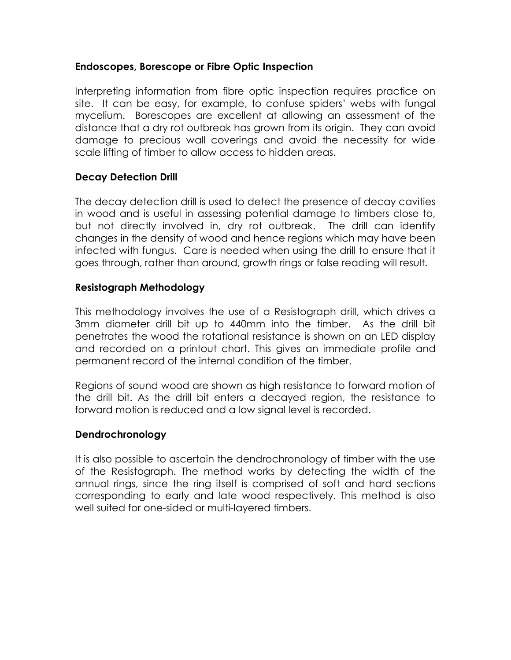### Endoscopes, Borescope or Fibre Optic Inspection

Interpreting information from fibre optic inspection requires practice on site. It can be easy, for example, to confuse spiders' webs with fungal mycelium. Borescopes are excellent at allowing an assessment of the distance that a dry rot outbreak has grown from its origin. They can avoid damage to precious wall coverings and avoid the necessity for wide scale lifting of timber to allow access to hidden areas.

## Decay Detection Drill

The decay detection drill is used to detect the presence of decay cavities in wood and is useful in assessing potential damage to timbers close to, but not directly involved in, dry rot outbreak. The drill can identify changes in the density of wood and hence regions which may have been infected with fungus. Care is needed when using the drill to ensure that it goes through, rather than around, growth rings or false reading will result.

## Resistograph Methodology

This methodology involves the use of a Resistograph drill, which drives a 3mm diameter drill bit up to 440mm into the timber. As the drill bit penetrates the wood the rotational resistance is shown on an LED display and recorded on a printout chart. This gives an immediate profile and permanent record of the internal condition of the timber.

Regions of sound wood are shown as high resistance to forward motion of the drill bit. As the drill bit enters a decayed region, the resistance to forward motion is reduced and a low signal level is recorded.

### Dendrochronology

It is also possible to ascertain the dendrochronology of timber with the use of the Resistograph. The method works by detecting the width of the annual rings, since the ring itself is comprised of soft and hard sections corresponding to early and late wood respectively. This method is also well suited for one-sided or multi-layered timbers.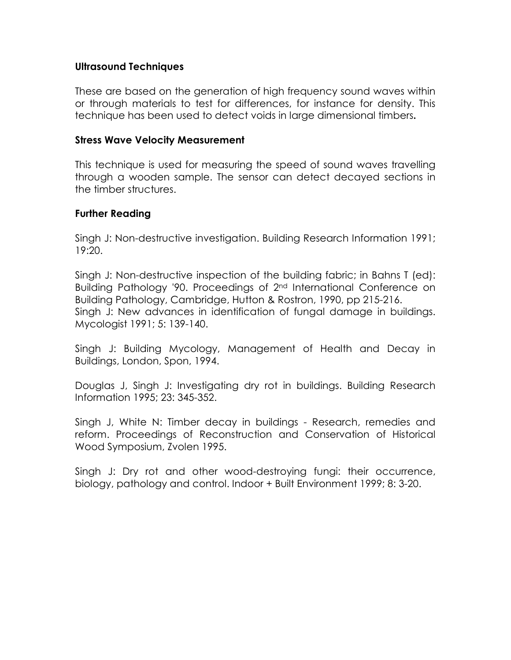#### Ultrasound Techniques

These are based on the generation of high frequency sound waves within or through materials to test for differences, for instance for density. This technique has been used to detect voids in large dimensional timbers.

#### Stress Wave Velocity Measurement

This technique is used for measuring the speed of sound waves travelling through a wooden sample. The sensor can detect decayed sections in the timber structures.

#### Further Reading

Singh J: Non-destructive investigation. Building Research Information 1991; 19:20.

Singh J: Non-destructive inspection of the building fabric; in Bahns T (ed): Building Pathology '90. Proceedings of 2nd International Conference on Building Pathology, Cambridge, Hutton & Rostron, 1990, pp 215-216. Singh J: New advances in identification of fungal damage in buildings. Mycologist 1991; 5: 139-140.

Singh J: Building Mycology, Management of Health and Decay in Buildings, London, Spon, 1994.

Douglas J, Singh J: Investigating dry rot in buildings. Building Research Information 1995; 23: 345-352.

Singh J, White N: Timber decay in buildings - Research, remedies and reform. Proceedings of Reconstruction and Conservation of Historical Wood Symposium, Zvolen 1995.

Singh J: Dry rot and other wood-destroying fungi: their occurrence, biology, pathology and control. Indoor + Built Environment 1999; 8: 3-20.